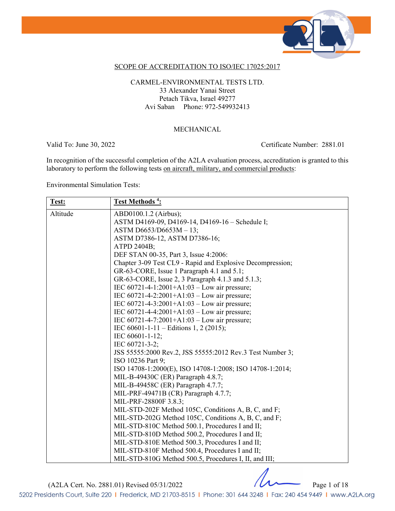

### SCOPE OF ACCREDITATION TO ISO/IEC 17025:2017

### CARMEL-ENVIRONMENTAL TESTS LTD. 33 Alexander Yanai Street Petach Tikva, Israel 49277 Avi Saban Phone: 972-549932413

#### MECHANICAL

Valid To: June 30, 2022 Certificate Number: 2881.01

In recognition of the successful completion of the A2LA evaluation process, accreditation is granted to this laboratory to perform the following tests <u>on aircraft, military, and commercial products</u>:

Environmental Simulation Tests:

| Test:    | Test Methods <sup>4</sup> :                                |
|----------|------------------------------------------------------------|
| Altitude | ABD0100.1.2 (Airbus);                                      |
|          | ASTM D4169-09, D4169-14, D4169-16 - Schedule I;            |
|          | ASTM D6653/D6653M - 13;                                    |
|          | ASTM D7386-12, ASTM D7386-16;                              |
|          | ATPD 2404B;                                                |
|          | DEF STAN 00-35, Part 3, Issue 4:2006:                      |
|          | Chapter 3-09 Test CL9 - Rapid and Explosive Decompression; |
|          | GR-63-CORE, Issue 1 Paragraph 4.1 and 5.1;                 |
|          | GR-63-CORE, Issue 2, 3 Paragraph 4.1.3 and 5.1.3;          |
|          | IEC 60721-4-1:2001+A1:03 - Low air pressure;               |
|          | IEC $60721 - 4 - 2:2001 + A1:03 - Low air pressure$ ;      |
|          | IEC $60721 - 4 - 3:2001 + A1:03 - Low air pressure$ ;      |
|          | IEC $60721 - 4 - 4:2001 + A1:03 - Low air pressure$ ;      |
|          | IEC $60721 - 4 - 7:2001 + A1:03 - Low air pressure$ ;      |
|          | IEC 60601-1-11 – Editions 1, 2 (2015);                     |
|          | IEC 60601-1-12;                                            |
|          | IEC 60721-3-2;                                             |
|          | JSS 55555:2000 Rev.2, JSS 55555:2012 Rev.3 Test Number 3;  |
|          | ISO 10236 Part 9;                                          |
|          | ISO 14708-1:2000(E), ISO 14708-1:2008; ISO 14708-1:2014;   |
|          | MIL-B-49430C (ER) Paragraph 4.8.7;                         |
|          | MIL-B-49458C (ER) Paragraph 4.7.7;                         |
|          | MIL-PRF-49471B (CR) Paragraph 4.7.7;                       |
|          | MIL-PRF-28800F 3.8.3;                                      |
|          | MIL-STD-202F Method 105C, Conditions A, B, C, and F;       |
|          | MIL-STD-202G Method 105C, Conditions A, B, C, and F;       |
|          | MIL-STD-810C Method 500.1, Procedures I and II;            |
|          | MIL-STD-810D Method 500.2, Procedures I and II;            |
|          | MIL-STD-810E Method 500.3, Procedures I and II;            |
|          | MIL-STD-810F Method 500.4, Procedures I and II;            |
|          | MIL-STD-810G Method 500.5, Procedures I, II, and III;      |

(A2LA Cert. No. 2881.01) Revised 05/31/2022 Page 1 of 18

5202 Presidents Court, Suite 220 | Frederick, MD 21703-8515 | Phone: 301 644 3248 | Fax: 240 454 9449 | www.A2LA.org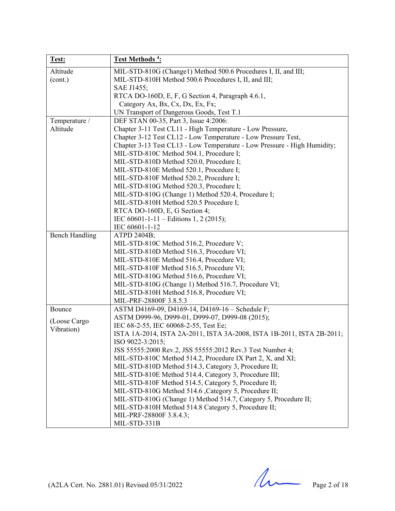| Test:                 | Test Methods <sup>4</sup> :                                                   |
|-----------------------|-------------------------------------------------------------------------------|
| Altitude              | MIL-STD-810G (Change1) Method 500.6 Procedures I, II, and III;                |
| (cont.)               | MIL-STD-810H Method 500.6 Procedures I, II, and III;                          |
|                       | SAE J1455;                                                                    |
|                       | RTCA DO-160D, E, F, G Section 4, Paragraph 4.6.1,                             |
|                       | Category Ax, Bx, Cx, Dx, Ex, Fx;                                              |
|                       | UN Transport of Dangerous Goods, Test T.1                                     |
| Temperature /         | DEF STAN 00-35, Part 3, Issue 4:2006:                                         |
| Altitude              | Chapter 3-11 Test CL11 - High Temperature - Low Pressure,                     |
|                       | Chapter 3-12 Test CL12 - Low Temperature - Low Pressure Test,                 |
|                       | Chapter 3-13 Test CL13 - Low Temperature - Low Pressure - High Humidity;      |
|                       | MIL-STD-810C Method 504.1, Procedure I;                                       |
|                       | MIL-STD-810D Method 520.0, Procedure I;                                       |
|                       | MIL-STD-810E Method 520.1, Procedure I;                                       |
|                       | MIL-STD-810F Method 520.2, Procedure I;                                       |
|                       | MIL-STD-810G Method 520.3, Procedure I;                                       |
|                       | MIL-STD-810G (Change 1) Method 520.4, Procedure I;                            |
|                       | MIL-STD-810H Method 520.5 Procedure I;                                        |
|                       | RTCA DO-160D, E, G Section 4;                                                 |
|                       | IEC 60601-1-11 – Editions 1, 2 (2015);                                        |
|                       | IEC 60601-1-12                                                                |
| <b>Bench Handling</b> | ATPD 2404B;                                                                   |
|                       | MIL-STD-810C Method 516.2, Procedure V;                                       |
|                       | MIL-STD-810D Method 516.3, Procedure VI;                                      |
|                       | MIL-STD-810E Method 516.4, Procedure VI;                                      |
|                       | MIL-STD-810F Method 516.5, Procedure VI;                                      |
|                       | MIL-STD-810G Method 516.6, Procedure VI;                                      |
|                       | MIL-STD-810G (Change 1) Method 516.7, Procedure VI;                           |
|                       | MIL-STD-810H Method 516.8, Procedure VI;                                      |
|                       | MIL-PRF-28800F 3.8.5.3                                                        |
| Bounce                | ASTM D4169-09, D4169-14, D4169-16 - Schedule F;                               |
| (Loose Cargo          | ASTM D999-96, D999-01, D999-07, D999-08 (2015);                               |
| Vibration)            | IEC 68-2-55, IEC 60068-2-55, Test Ee;                                         |
|                       | ISTA 1A-2014, ISTA 2A-2011, ISTA 3A-2008, ISTA 1B-2011, ISTA 2B-2011;         |
|                       | ISO 9022-3:2015;<br>JSS 55555:2000 Rev.2, JSS 55555:2012 Rev.3 Test Number 4; |
|                       | MIL-STD-810C Method 514.2, Procedure IX Part 2, X, and XI;                    |
|                       | MIL-STD-810D Method 514.3, Category 3, Procedure II;                          |
|                       | MIL-STD-810E Method 514.4, Category 3, Procedure III;                         |
|                       | MIL-STD-810F Method 514.5, Category 5, Procedure II;                          |
|                       | MIL-STD-810G Method 514.6, Category 5, Procedure II;                          |
|                       | MIL-STD-810G (Change 1) Method 514.7, Category 5, Procedure II;               |
|                       | MIL-STD-810H Method 514.8 Category 5, Procedure II;                           |
|                       | MIL-PRF-28800F 3.8.4.3;                                                       |
|                       | MIL-STD-331B                                                                  |

(A2LA Cert. No. 2881.01) Revised 05/31/2022 Page 2 of 18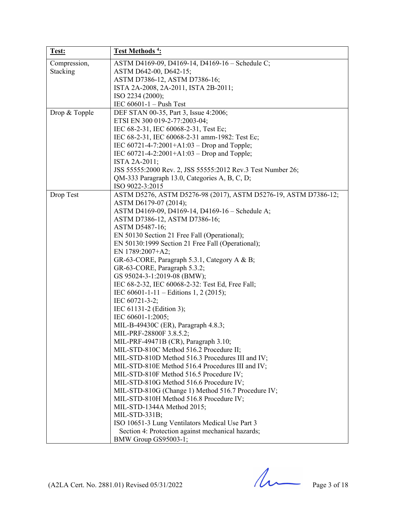| Test:         | Test Methods <sup>4</sup> :                                     |
|---------------|-----------------------------------------------------------------|
| Compression,  | ASTM D4169-09, D4169-14, D4169-16 - Schedule C;                 |
| Stacking      | ASTM D642-00, D642-15;                                          |
|               | ASTM D7386-12, ASTM D7386-16;                                   |
|               | ISTA 2A-2008, 2A-2011, ISTA 2B-2011;                            |
|               | ISO 2234 (2000);                                                |
|               | IEC $60601-1$ – Push Test                                       |
| Drop & Topple | DEF STAN 00-35, Part 3, Issue 4:2006;                           |
|               | ETSI EN 300 019-2-77:2003-04;                                   |
|               | IEC 68-2-31, IEC 60068-2-31, Test Ec;                           |
|               | IEC 68-2-31, IEC 60068-2-31 amm-1982: Test Ec;                  |
|               | IEC 60721-4-7:2001+A1:03 – Drop and Topple;                     |
|               | IEC $60721 - 4 - 2:2001 + A1:03 - Drop$ and Topple;             |
|               | ISTA 2A-2011;                                                   |
|               | JSS 55555:2000 Rev. 2, JSS 55555:2012 Rev.3 Test Number 26;     |
|               | QM-333 Paragraph 13.0, Categories A, B, C, D;                   |
|               | ISO 9022-3:2015                                                 |
| Drop Test     | ASTM D5276, ASTM D5276-98 (2017), ASTM D5276-19, ASTM D7386-12; |
|               | ASTM D6179-07 (2014);                                           |
|               | ASTM D4169-09, D4169-14, D4169-16 - Schedule A;                 |
|               | ASTM D7386-12, ASTM D7386-16;                                   |
|               | ASTM D5487-16;                                                  |
|               | EN 50130 Section 21 Free Fall (Operational);                    |
|               | EN 50130:1999 Section 21 Free Fall (Operational);               |
|               | EN 1789:2007+A2;                                                |
|               | GR-63-CORE, Paragraph 5.3.1, Category A & B;                    |
|               | GR-63-CORE, Paragraph 5.3.2;                                    |
|               | GS 95024-3-1:2019-08 (BMW);                                     |
|               | IEC 68-2-32, IEC 60068-2-32: Test Ed, Free Fall;                |
|               | IEC 60601-1-11 – Editions 1, 2 (2015);                          |
|               | IEC 60721-3-2;                                                  |
|               | IEC 61131-2 (Edition 3);                                        |
|               | IEC 60601-1:2005;                                               |
|               | MIL-B-49430C (ER), Paragraph 4.8.3;                             |
|               | MIL-PRF-28800F 3.8.5.2;                                         |
|               | MIL-PRF-49471B (CR), Paragraph 3.10;                            |
|               | MIL-STD-810C Method 516.2 Procedure II;                         |
|               | MIL-STD-810D Method 516.3 Procedures III and IV;                |
|               | MIL-STD-810E Method 516.4 Procedures III and IV;                |
|               | MIL-STD-810F Method 516.5 Procedure IV;                         |
|               | MIL-STD-810G Method 516.6 Procedure IV;                         |
|               | MIL-STD-810G (Change 1) Method 516.7 Procedure IV;              |
|               | MIL-STD-810H Method 516.8 Procedure IV;                         |
|               | MIL-STD-1344A Method 2015;                                      |
|               | MIL-STD-331B;                                                   |
|               | ISO 10651-3 Lung Ventilators Medical Use Part 3                 |
|               | Section 4: Protection against mechanical hazards;               |
|               | BMW Group GS95003-1;                                            |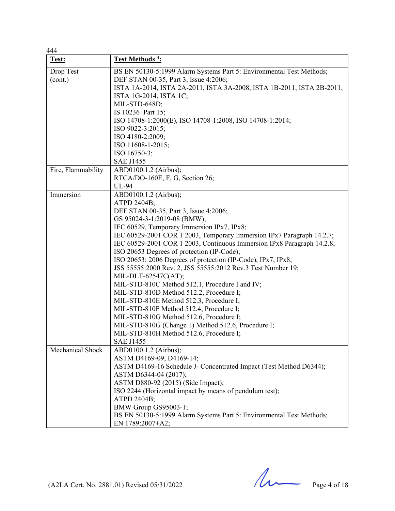| 444                |                                                                        |
|--------------------|------------------------------------------------------------------------|
| Test:              | <u>Test Methods<sup>4</sup>:</u>                                       |
| Drop Test          | BS EN 50130-5:1999 Alarm Systems Part 5: Environmental Test Methods;   |
| (cont.)            | DEF STAN 00-35, Part 3, Issue 4:2006;                                  |
|                    | ISTA 1A-2014, ISTA 2A-2011, ISTA 3A-2008, ISTA 1B-2011, ISTA 2B-2011,  |
|                    | ISTA 1G-2014, ISTA 1C;                                                 |
|                    | MIL-STD-648D;                                                          |
|                    | IS 10236 Part 15;                                                      |
|                    | ISO 14708-1:2000(E), ISO 14708-1:2008, ISO 14708-1:2014;               |
|                    | ISO 9022-3:2015;                                                       |
|                    | ISO 4180-2:2009;                                                       |
|                    | ISO 11608-1-2015;                                                      |
|                    | ISO 16750-3;                                                           |
|                    | <b>SAE J1455</b>                                                       |
| Fire, Flammability | ABD0100.1.2 (Airbus);                                                  |
|                    | RTCA/DO-160E, F, G, Section 26;                                        |
|                    | UL-94                                                                  |
| Immersion          | ABD0100.1.2 (Airbus);                                                  |
|                    | ATPD 2404B;                                                            |
|                    | DEF STAN 00-35, Part 3, Issue 4:2006;                                  |
|                    | GS 95024-3-1:2019-08 (BMW);                                            |
|                    | IEC 60529, Temporary Immersion IPx7, IPx8;                             |
|                    | IEC 60529-2001 COR 1 2003, Temporary Immersion IPx7 Paragraph 14.2.7;  |
|                    | IEC 60529-2001 COR 1 2003, Continuous Immersion IPx8 Paragraph 14.2.8; |
|                    | ISO 20653 Degrees of protection (IP-Code);                             |
|                    | ISO 20653: 2006 Degrees of protection (IP-Code), IPx7, IPx8;           |
|                    | JSS 55555:2000 Rev. 2, JSS 55555:2012 Rev.3 Test Number 19;            |
|                    | MIL-DLT-62547C(AT);                                                    |
|                    | MIL-STD-810C Method 512.1, Procedure I and IV;                         |
|                    | MIL-STD-810D Method 512.2, Procedure I;                                |
|                    | MIL-STD-810E Method 512.3, Procedure I;                                |
|                    | MIL-STD-810F Method 512.4, Procedure I;                                |
|                    | MIL-STD-810G Method 512.6, Procedure I;                                |
|                    | MIL-STD-810G (Change 1) Method 512.6, Procedure I;                     |
|                    | MIL-STD-810H Method 512.6, Procedure I;                                |
|                    | <b>SAE J1455</b>                                                       |
| Mechanical Shock   | ABD0100.1.2 (Airbus);                                                  |
|                    | ASTM D4169-09, D4169-14;                                               |
|                    | ASTM D4169-16 Schedule J- Concentrated Impact (Test Method D6344);     |
|                    | ASTM D6344-04 (2017);                                                  |
|                    | ASTM D880-92 (2015) (Side Impact);                                     |
|                    | ISO 2244 (Horizontal impact by means of pendulum test);                |
|                    | ATPD 2404B;                                                            |
|                    | BMW Group GS95003-1;                                                   |
|                    | BS EN 50130-5:1999 Alarm Systems Part 5: Environmental Test Methods;   |
|                    | EN 1789:2007+A2;                                                       |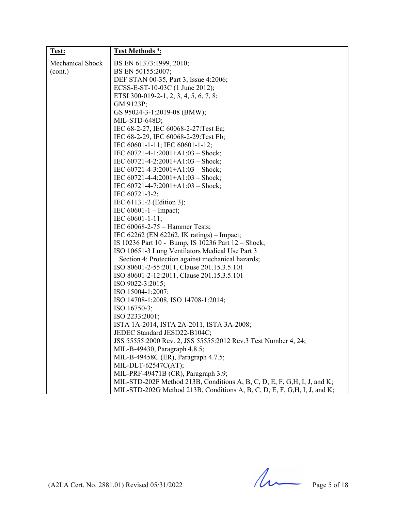| Test:                   | <b>Test Methods<sup>4</sup></b> :                                         |
|-------------------------|---------------------------------------------------------------------------|
| <b>Mechanical Shock</b> | BS EN 61373:1999, 2010;                                                   |
| (cont.)                 | BS EN 50155:2007;                                                         |
|                         | DEF STAN 00-35, Part 3, Issue 4:2006;                                     |
|                         | ECSS-E-ST-10-03C (1 June 2012);                                           |
|                         | ETSI 300-019-2-1, 2, 3, 4, 5, 6, 7, 8;                                    |
|                         | GM 9123P;                                                                 |
|                         | GS 95024-3-1:2019-08 (BMW);                                               |
|                         | MIL-STD-648D;                                                             |
|                         | IEC 68-2-27, IEC 60068-2-27: Test Ea;                                     |
|                         | IEC 68-2-29, IEC 60068-2-29: Test Eb;                                     |
|                         | IEC 60601-1-11; IEC 60601-1-12;                                           |
|                         | IEC 60721-4-1:2001+A1:03 - Shock;                                         |
|                         | IEC $60721 - 4 - 2:2001 + A1:03 - Shock;$                                 |
|                         | IEC $60721 - 4 - 3:2001 + A1:03 -}$ Shock;                                |
|                         | IEC $60721 - 4 - 4:2001 + A1:03 - Shock;$                                 |
|                         | IEC $60721 - 4 - 7:2001 + A1:03 - Shock;$                                 |
|                         | IEC 60721-3-2;                                                            |
|                         | IEC 61131-2 (Edition 3);                                                  |
|                         | IEC $60601 - 1$ – Impact;                                                 |
|                         | IEC 60601-1-11;                                                           |
|                         | IEC 60068-2-75 – Hammer Tests;                                            |
|                         | IEC 62262 (EN 62262, IK ratings) – Impact;                                |
|                         | IS 10236 Part 10 - Bump, IS 10236 Part 12 - Shock;                        |
|                         | ISO 10651-3 Lung Ventilators Medical Use Part 3                           |
|                         | Section 4: Protection against mechanical hazards;                         |
|                         | ISO 80601-2-55:2011, Clause 201.15.3.5.101                                |
|                         | ISO 80601-2-12:2011, Clause 201.15.3.5.101                                |
|                         | ISO 9022-3:2015;                                                          |
|                         | ISO 15004-1:2007;                                                         |
|                         | ISO 14708-1:2008, ISO 14708-1:2014;                                       |
|                         | ISO 16750-3;                                                              |
|                         | ISO 2233:2001;                                                            |
|                         | ISTA 1A-2014, ISTA 2A-2011, ISTA 3A-2008;                                 |
|                         | JEDEC Standard JESD22-B104C;                                              |
|                         | JSS 55555:2000 Rev. 2, JSS 55555:2012 Rev.3 Test Number 4, 24;            |
|                         | MIL-B-49430, Paragraph 4.8.5;                                             |
|                         | MIL-B-49458C (ER), Paragraph 4.7.5;                                       |
|                         | MIL-DLT-62547C(AT);                                                       |
|                         | MIL-PRF-49471B (CR), Paragraph 3.9;                                       |
|                         | MIL-STD-202F Method 213B, Conditions A, B, C, D, E, F, G, H, I, J, and K; |
|                         | MIL-STD-202G Method 213B, Conditions A, B, C, D, E, F, G, H, I, J, and K; |

(A2LA Cert. No. 2881.01) Revised 05/31/2022 Page 5 of 18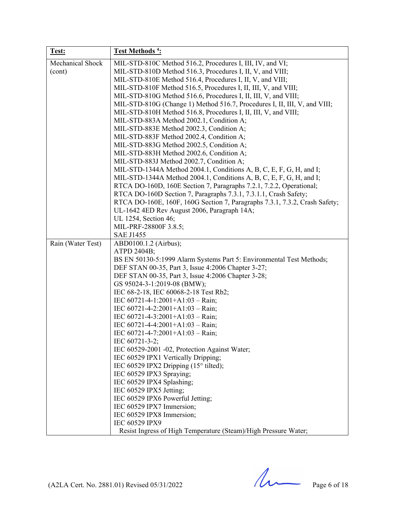| Test:             | <b>Test Methods<sup>4</sup></b> :                                                                                                           |
|-------------------|---------------------------------------------------------------------------------------------------------------------------------------------|
| Mechanical Shock  | MIL-STD-810C Method 516.2, Procedures I, III, IV, and VI;                                                                                   |
| (cont)            | MIL-STD-810D Method 516.3, Procedures I, II, V, and VIII;                                                                                   |
|                   | MIL-STD-810E Method 516.4, Procedures I, II, V, and VIII;                                                                                   |
|                   | MIL-STD-810F Method 516.5, Procedures I, II, III, V, and VIII;                                                                              |
|                   | MIL-STD-810G Method 516.6, Procedures I, II, III, V, and VIII;                                                                              |
|                   | MIL-STD-810G (Change 1) Method 516.7, Procedures I, II, III, V, and VIII;<br>MIL-STD-810H Method 516.8, Procedures I, II, III, V, and VIII; |
|                   | MIL-STD-883A Method 2002.1, Condition A;                                                                                                    |
|                   | MIL-STD-883E Method 2002.3, Condition A;                                                                                                    |
|                   | MIL-STD-883F Method 2002.4, Condition A;                                                                                                    |
|                   | MIL-STD-883G Method 2002.5, Condition A;                                                                                                    |
|                   | MIL-STD-883H Method 2002.6, Condition A;                                                                                                    |
|                   | MIL-STD-883J Method 2002.7, Condition A;                                                                                                    |
|                   | MIL-STD-1344A Method 2004.1, Conditions A, B, C, E, F, G, H, and I;                                                                         |
|                   | MIL-STD-1344A Method 2004.1, Conditions A, B, C, E, F, G, H, and I;                                                                         |
|                   | RTCA DO-160D, 160E Section 7, Paragraphs 7.2.1, 7.2.2, Operational;                                                                         |
|                   | RTCA DO-160D Section 7, Paragraphs 7.3.1, 7.3.1.1, Crash Safety;                                                                            |
|                   | RTCA DO-160E, 160F, 160G Section 7, Paragraphs 7.3.1, 7.3.2, Crash Safety;                                                                  |
|                   | UL-1642 4ED Rev August 2006, Paragraph 14A;                                                                                                 |
|                   | UL 1254, Section 46;<br>MIL-PRF-28800F 3.8.5;                                                                                               |
|                   | <b>SAE J1455</b>                                                                                                                            |
| Rain (Water Test) | ABD0100.1.2 (Airbus);                                                                                                                       |
|                   | ATPD 2404B;                                                                                                                                 |
|                   | BS EN 50130-5:1999 Alarm Systems Part 5: Environmental Test Methods;                                                                        |
|                   | DEF STAN 00-35, Part 3, Issue 4:2006 Chapter 3-27;                                                                                          |
|                   | DEF STAN 00-35, Part 3, Issue 4:2006 Chapter 3-28;                                                                                          |
|                   | GS 95024-3-1:2019-08 (BMW);                                                                                                                 |
|                   | IEC 68-2-18, IEC 60068-2-18 Test Rb2;                                                                                                       |
|                   | IEC $60721 - 4 - 1:2001 + A1:03 - Rain;$                                                                                                    |
|                   | IEC $60721 - 4 - 2:2001 + A1:03 - Rain;$                                                                                                    |
|                   | IEC $60721 - 4 - 3:2001 + A1:03 - Rain;$<br>IEC $60721 - 4 - 4:2001 + A1:03 - Rain;$                                                        |
|                   | IEC 60721-4-7:2001+A1:03 - Rain;                                                                                                            |
|                   | IEC 60721-3-2;                                                                                                                              |
|                   | IEC 60529-2001 -02, Protection Against Water;                                                                                               |
|                   | IEC 60529 IPX1 Vertically Dripping;                                                                                                         |
|                   | IEC 60529 IPX2 Dripping $(15^{\circ}$ tilted);                                                                                              |
|                   | IEC 60529 IPX3 Spraying;                                                                                                                    |
|                   | IEC 60529 IPX4 Splashing;                                                                                                                   |
|                   | IEC 60529 IPX5 Jetting;                                                                                                                     |
|                   | IEC 60529 IPX6 Powerful Jetting;                                                                                                            |
|                   | IEC 60529 IPX7 Immersion;                                                                                                                   |
|                   | IEC 60529 IPX8 Immersion;<br>IEC 60529 IPX9                                                                                                 |
|                   | Resist Ingress of High Temperature (Steam)/High Pressure Water;                                                                             |
|                   |                                                                                                                                             |

(A2LA Cert. No. 2881.01) Revised 05/31/2022 Page 6 of 18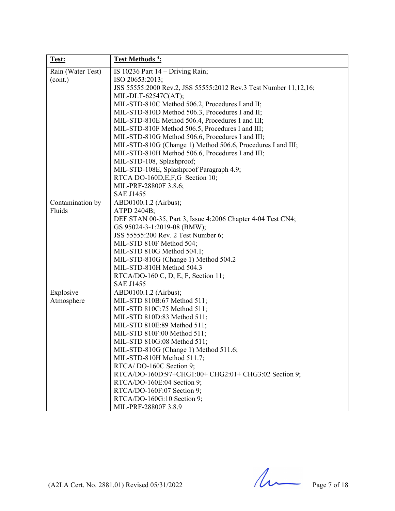| Test:             | Test Methods <sup>4</sup> :                                      |
|-------------------|------------------------------------------------------------------|
| Rain (Water Test) | IS 10236 Part $14 -$ Driving Rain;                               |
| (cont.)           | ISO 20653:2013;                                                  |
|                   | JSS 55555:2000 Rev.2, JSS 55555:2012 Rev.3 Test Number 11,12,16; |
|                   | MIL-DLT-62547C(AT);                                              |
|                   | MIL-STD-810C Method 506.2, Procedures I and II;                  |
|                   | MIL-STD-810D Method 506.3, Procedures I and II;                  |
|                   | MIL-STD-810E Method 506.4, Procedures I and III;                 |
|                   | MIL-STD-810F Method 506.5, Procedures I and III;                 |
|                   | MIL-STD-810G Method 506.6, Procedures I and III;                 |
|                   | MIL-STD-810G (Change 1) Method 506.6, Procedures I and III;      |
|                   | MIL-STD-810H Method 506.6, Procedures I and III;                 |
|                   | MIL-STD-108, Splashproof;                                        |
|                   | MIL-STD-108E, Splashproof Paragraph 4.9;                         |
|                   | RTCA DO-160D, E, F, G Section 10;                                |
|                   | MIL-PRF-28800F 3.8.6;                                            |
|                   | <b>SAE J1455</b>                                                 |
| Contamination by  | ABD0100.1.2 (Airbus);                                            |
| Fluids            | ATPD 2404B;                                                      |
|                   | DEF STAN 00-35, Part 3, Issue 4:2006 Chapter 4-04 Test CN4;      |
|                   | GS 95024-3-1:2019-08 (BMW);                                      |
|                   | JSS 55555:200 Rev. 2 Test Number 6;                              |
|                   | MIL-STD 810F Method 504;                                         |
|                   | MIL-STD 810G Method 504.1;                                       |
|                   | MIL-STD-810G (Change 1) Method 504.2                             |
|                   | MIL-STD-810H Method 504.3                                        |
|                   | RTCA/DO-160 C, D, E, F, Section 11;                              |
|                   | <b>SAE J1455</b>                                                 |
| Explosive         | ABD0100.1.2 (Airbus);                                            |
| Atmosphere        | MIL-STD 810B:67 Method 511;                                      |
|                   | MIL-STD 810C:75 Method 511;                                      |
|                   | MIL-STD 810D:83 Method 511;                                      |
|                   | MIL-STD 810E:89 Method 511;                                      |
|                   | MIL-STD 810F:00 Method 511;                                      |
|                   | MIL-STD 810G:08 Method 511;                                      |
|                   | MIL-STD-810G (Change 1) Method 511.6;                            |
|                   | MIL-STD-810H Method 511.7;                                       |
|                   | RTCA/DO-160C Section 9;                                          |
|                   | RTCA/DO-160D:97+CHG1:00+ CHG2:01+ CHG3:02 Section 9;             |
|                   | RTCA/DO-160E:04 Section 9;                                       |
|                   | RTCA/DO-160F:07 Section 9;                                       |
|                   | RTCA/DO-160G:10 Section 9;                                       |
|                   | MIL-PRF-28800F 3.8.9                                             |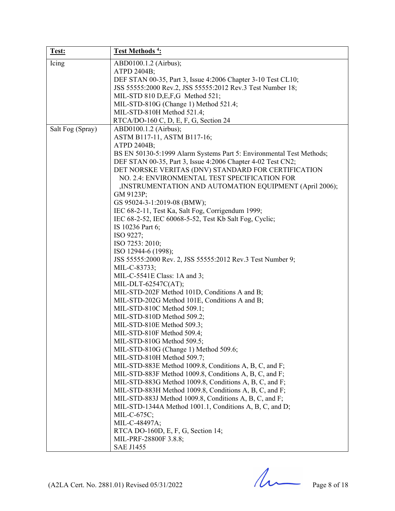| Test:            | Test Methods <sup>4</sup> :                                          |
|------------------|----------------------------------------------------------------------|
| Icing            | ABD0100.1.2 (Airbus);                                                |
|                  | ATPD 2404B;                                                          |
|                  | DEF STAN 00-35, Part 3, Issue 4:2006 Chapter 3-10 Test CL10;         |
|                  | JSS 55555:2000 Rev.2, JSS 55555:2012 Rev.3 Test Number 18;           |
|                  | MIL-STD 810 D,E,F,G Method 521;                                      |
|                  | MIL-STD-810G (Change 1) Method 521.4;                                |
|                  | MIL-STD-810H Method 521.4;                                           |
|                  | RTCA/DO-160 C, D, E, F, G, Section 24                                |
| Salt Fog (Spray) | ABD0100.1.2 (Airbus);                                                |
|                  | ASTM B117-11, ASTM B117-16;                                          |
|                  | ATPD 2404B;                                                          |
|                  | BS EN 50130-5:1999 Alarm Systems Part 5: Environmental Test Methods; |
|                  | DEF STAN 00-35, Part 3, Issue 4:2006 Chapter 4-02 Test CN2;          |
|                  | DET NORSKE VERITAS (DNV) STANDARD FOR CERTIFICATION                  |
|                  | NO. 2.4: ENVIRONMENTAL TEST SPECIFICATION FOR                        |
|                  | ,INSTRUMENTATION AND AUTOMATION EQUIPMENT (April 2006);              |
|                  | GM 9123P;                                                            |
|                  | GS 95024-3-1:2019-08 (BMW);                                          |
|                  | IEC 68-2-11, Test Ka, Salt Fog, Corrigendum 1999;                    |
|                  | IEC 68-2-52, IEC 60068-5-52, Test Kb Salt Fog, Cyclic;               |
|                  | IS 10236 Part 6;                                                     |
|                  | ISO 9227;                                                            |
|                  | ISO 7253: 2010;                                                      |
|                  | ISO 12944-6 (1998);                                                  |
|                  | JSS 55555:2000 Rev. 2, JSS 55555:2012 Rev.3 Test Number 9;           |
|                  | MIL-C-83733;                                                         |
|                  | MIL-C-5541E Class: 1A and 3;                                         |
|                  | MIL-DLT-62547C(AT);                                                  |
|                  | MIL-STD-202F Method 101D, Conditions A and B;                        |
|                  | MIL-STD-202G Method 101E, Conditions A and B;                        |
|                  | MIL-STD-810C Method 509.1;                                           |
|                  | MIL-STD-810D Method 509.2;                                           |
|                  | MIL-STD-810E Method 509.3;                                           |
|                  | MIL-STD-810F Method 509.4;                                           |
|                  | MIL-STD-810G Method 509.5;                                           |
|                  | MIL-STD-810G (Change 1) Method 509.6;                                |
|                  | MIL-STD-810H Method 509.7;                                           |
|                  | MIL-STD-883E Method 1009.8, Conditions A, B, C, and F;               |
|                  | MIL-STD-883F Method 1009.8, Conditions A, B, C, and F;               |
|                  | MIL-STD-883G Method 1009.8, Conditions A, B, C, and F;               |
|                  | MIL-STD-883H Method 1009.8, Conditions A, B, C, and F;               |
|                  | MIL-STD-883J Method 1009.8, Conditions A, B, C, and F;               |
|                  | MIL-STD-1344A Method 1001.1, Conditions A, B, C, and D;              |
|                  | MIL-C-675C;                                                          |
|                  | MIL-C-48497A;                                                        |
|                  | RTCA DO-160D, E, F, G, Section 14;                                   |
|                  | MIL-PRF-28800F 3.8.8;                                                |
|                  | <b>SAE J1455</b>                                                     |

(A2LA Cert. No. 2881.01) Revised 05/31/2022 Page 8 of 18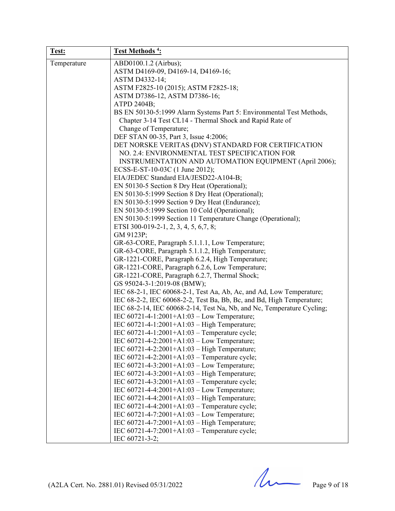| Test:       | Test Methods <sup>4</sup> :                                            |
|-------------|------------------------------------------------------------------------|
| Temperature | ABD0100.1.2 (Airbus);                                                  |
|             | ASTM D4169-09, D4169-14, D4169-16;                                     |
|             | ASTM D4332-14;                                                         |
|             | ASTM F2825-10 (2015); ASTM F2825-18;                                   |
|             | ASTM D7386-12, ASTM D7386-16;                                          |
|             | ATPD 2404B;                                                            |
|             | BS EN 50130-5:1999 Alarm Systems Part 5: Environmental Test Methods,   |
|             | Chapter 3-14 Test CL14 - Thermal Shock and Rapid Rate of               |
|             | Change of Temperature;                                                 |
|             | DEF STAN 00-35, Part 3, Issue 4:2006;                                  |
|             | DET NORSKE VERITAS (DNV) STANDARD FOR CERTIFICATION                    |
|             | NO. 2.4: ENVIRONMENTAL TEST SPECIFICATION FOR                          |
|             | INSTRUMENTATION AND AUTOMATION EQUIPMENT (April 2006);                 |
|             | ECSS-E-ST-10-03C (1 June 2012);                                        |
|             | EIA/JEDEC Standard EIA/JESD22-A104-B;                                  |
|             | EN 50130-5 Section 8 Dry Heat (Operational);                           |
|             | EN 50130-5:1999 Section 8 Dry Heat (Operational);                      |
|             | EN 50130-5:1999 Section 9 Dry Heat (Endurance);                        |
|             | EN 50130-5:1999 Section 10 Cold (Operational);                         |
|             | EN 50130-5:1999 Section 11 Temperature Change (Operational);           |
|             | ETSI 300-019-2-1, 2, 3, 4, 5, 6, 7, 8;                                 |
|             | GM 9123P;                                                              |
|             | GR-63-CORE, Paragraph 5.1.1.1, Low Temperature;                        |
|             | GR-63-CORE, Paragraph 5.1.1.2, High Temperature;                       |
|             | GR-1221-CORE, Paragraph 6.2.4, High Temperature;                       |
|             | GR-1221-CORE, Paragraph 6.2.6, Low Temperature;                        |
|             | GR-1221-CORE, Paragraph 6.2.7, Thermal Shock;                          |
|             | GS 95024-3-1:2019-08 (BMW);                                            |
|             | IEC 68-2-1, IEC 60068-2-1, Test Aa, Ab, Ac, and Ad, Low Temperature;   |
|             | IEC 68-2-2, IEC 60068-2-2, Test Ba, Bb, Bc, and Bd, High Temperature;  |
|             | IEC 68-2-14, IEC 60068-2-14, Test Na, Nb, and Nc, Temperature Cycling; |
|             | IEC $60721 - 4 - 1:2001 + A1:03 - Low Temperature;$                    |
|             | IEC 60721-4-1:2001+A1:03 - High Temperature;                           |
|             | IEC 60721-4-1:2001+A1:03 - Temperature cycle;                          |
|             | IEC 60721-4-2:2001+A1:03 - Low Temperature;                            |
|             | IEC 60721-4-2:2001+A1:03 - High Temperature;                           |
|             | IEC $60721 - 4 - 2:2001 + A1:03$ – Temperature cycle;                  |
|             | IEC 60721-4-3:2001+A1:03 - Low Temperature;                            |
|             | IEC 60721-4-3:2001+A1:03 - High Temperature;                           |
|             | IEC $60721 - 4 - 3:2001 + A1:03$ – Temperature cycle;                  |
|             | IEC 60721-4-4:2001+A1:03 - Low Temperature;                            |
|             | IEC 60721-4-4:2001+A1:03 - High Temperature;                           |
|             | IEC 60721-4-4:2001+A1:03 - Temperature cycle;                          |
|             | IEC 60721-4-7:2001+A1:03 - Low Temperature;                            |
|             | IEC 60721-4-7:2001+A1:03 - High Temperature;                           |
|             | IEC 60721-4-7:2001+A1:03 - Temperature cycle;                          |
|             | IEC 60721-3-2;                                                         |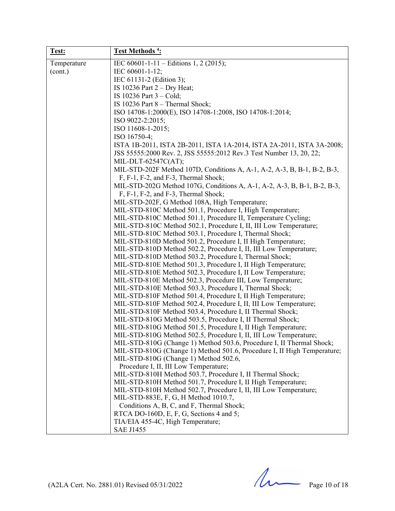| Test:       | Test Methods <sup>4</sup> :                                                    |
|-------------|--------------------------------------------------------------------------------|
| Temperature | IEC 60601-1-11 - Editions 1, 2 (2015);                                         |
| (cont.)     | IEC 60601-1-12;                                                                |
|             | IEC 61131-2 (Edition 3);                                                       |
|             | IS 10236 Part $2 - Dry Heat$ ;                                                 |
|             | IS $10236$ Part $3 - Cold$ ;                                                   |
|             | IS 10236 Part 8 - Thermal Shock;                                               |
|             | ISO 14708-1:2000(E), ISO 14708-1:2008, ISO 14708-1:2014;                       |
|             | ISO 9022-2:2015;                                                               |
|             | ISO 11608-1-2015;                                                              |
|             | ISO 16750-4;                                                                   |
|             | ISTA 1B-2011, ISTA 2B-2011, ISTA 1A-2014, ISTA 2A-2011, ISTA 3A-2008;          |
|             | JSS 55555:2000 Rev. 2, JSS 55555:2012 Rev.3 Test Number 13, 20, 22;            |
|             | MIL-DLT-62547C(AT);                                                            |
|             | MIL-STD-202F Method 107D, Conditions A, A-1, A-2, A-3, B, B-1, B-2, B-3,       |
|             | F, F-1, F-2, and F-3, Thermal Shock;                                           |
|             | MIL-STD-202G Method 107G, Conditions A, A-1, A-2, A-3, B, B-1, B-2, B-3,       |
|             | F, F-1, F-2, and F-3, Thermal Shock;                                           |
|             | MIL-STD-202F, G Method 108A, High Temperature;                                 |
|             | MIL-STD-810C Method 501.1, Procedure I, High Temperature;                      |
|             | MIL-STD-810C Method 501.1, Procedure II, Temperature Cycling;                  |
|             | MIL-STD-810C Method 502.1, Procedure I, II, III Low Temperature;               |
|             | MIL-STD-810C Method 503.1, Procedure I, Thermal Shock;                         |
|             | MIL-STD-810D Method 501.2, Procedure I, II High Temperature;                   |
|             | MIL-STD-810D Method 502.2, Procedure I, II, III Low Temperature;               |
|             | MIL-STD-810D Method 503.2, Procedure I, Thermal Shock;                         |
|             | MIL-STD-810E Method 501.3, Procedure I, II High Temperature;                   |
|             | MIL-STD-810E Method 502.3, Procedure I, II Low Temperature;                    |
|             | MIL-STD-810E Method 502.3, Procedure III, Low Temperature;                     |
|             | MIL-STD-810E Method 503.3, Procedure I, Thermal Shock;                         |
|             | MIL-STD-810F Method 501.4, Procedure I, II High Temperature;                   |
|             | MIL-STD-810F Method 502.4, Procedure I, II, III Low Temperature;               |
|             | MIL-STD-810F Method 503.4, Procedure I, II Thermal Shock;                      |
|             | MIL-STD-810G Method 503.5, Procedure I, II Thermal Shock;                      |
|             | MIL-STD-810G Method 501.5, Procedure I, II High Temperature;                   |
|             | MIL-STD-810G Method 502.5, Procedure I, II, III Low Temperature;               |
|             | MIL-STD-810G (Change 1) Method 503.6, Procedure I, II Thermal Shock;           |
|             | MIL-STD-810G (Change 1) Method 501.6, Procedure I, II High Temperature;        |
|             | MIL-STD-810G (Change 1) Method 502.6,<br>Procedure I, II, III Low Temperature; |
|             | MIL-STD-810H Method 503.7, Procedure I, II Thermal Shock;                      |
|             | MIL-STD-810H Method 501.7, Procedure I, II High Temperature;                   |
|             | MIL-STD-810H Method 502.7, Procedure I, II, III Low Temperature;               |
|             | MIL-STD-883E, F, G, H Method 1010.7,                                           |
|             | Conditions A, B, C, and F, Thermal Shock;                                      |
|             | RTCA DO-160D, E, F, G, Sections 4 and 5;                                       |
|             | TIA/EIA 455-4C, High Temperature;                                              |
|             | <b>SAE J1455</b>                                                               |

 $(A2LA$  Cert. No. 2881.01) Revised 05/31/2022 Page 10 of 18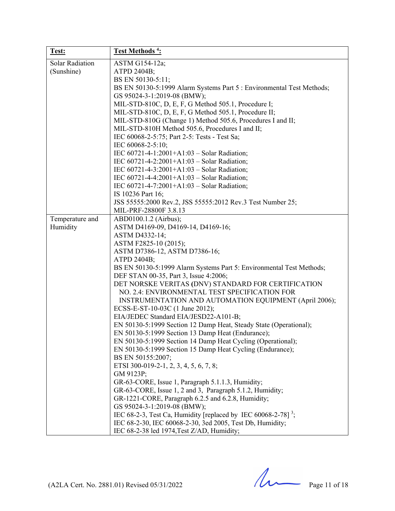| Test:                                | Test Methods <sup>4</sup> :                                                                                                                                                                                                                                                                                                                                                                                                                                                                                                                                                                                                                                                                                                                                                                                                                                                                                                                                                                                                                                                                                                                                                                                                                           |
|--------------------------------------|-------------------------------------------------------------------------------------------------------------------------------------------------------------------------------------------------------------------------------------------------------------------------------------------------------------------------------------------------------------------------------------------------------------------------------------------------------------------------------------------------------------------------------------------------------------------------------------------------------------------------------------------------------------------------------------------------------------------------------------------------------------------------------------------------------------------------------------------------------------------------------------------------------------------------------------------------------------------------------------------------------------------------------------------------------------------------------------------------------------------------------------------------------------------------------------------------------------------------------------------------------|
| <b>Solar Radiation</b><br>(Sunshine) | ASTM G154-12a;<br>ATPD 2404B;<br>BS EN 50130-5:11;<br>BS EN 50130-5:1999 Alarm Systems Part 5 : Environmental Test Methods;<br>GS 95024-3-1:2019-08 (BMW);<br>MIL-STD-810C, D, E, F, G Method 505.1, Procedure I;<br>MIL-STD-810C, D, E, F, G Method 505.1, Procedure II;<br>MIL-STD-810G (Change 1) Method 505.6, Procedures I and II;<br>MIL-STD-810H Method 505.6, Procedures I and II;<br>IEC 60068-2-5:75; Part 2-5: Tests - Test Sa;<br>IEC 60068-2-5:10;<br>IEC 60721-4-1:2001+A1:03 - Solar Radiation;<br>IEC 60721-4-2:2001+A1:03 - Solar Radiation;<br>IEC 60721-4-3:2001+A1:03 - Solar Radiation;<br>IEC 60721-4-4:2001+A1:03 - Solar Radiation;<br>IEC 60721-4-7:2001+A1:03 - Solar Radiation;<br>IS 10236 Part 16;<br>JSS 55555:2000 Rev.2, JSS 55555:2012 Rev.3 Test Number 25;<br>MIL-PRF-28800F 3.8.13                                                                                                                                                                                                                                                                                                                                                                                                                                |
| Temperature and<br>Humidity          | ABD0100.1.2 (Airbus);<br>ASTM D4169-09, D4169-14, D4169-16;<br>ASTM D4332-14;<br>ASTM F2825-10 (2015);<br>ASTM D7386-12, ASTM D7386-16;<br>ATPD 2404B;<br>BS EN 50130-5:1999 Alarm Systems Part 5: Environmental Test Methods;<br>DEF STAN 00-35, Part 3, Issue 4:2006;<br>DET NORSKE VERITAS (DNV) STANDARD FOR CERTIFICATION<br>NO. 2.4: ENVIRONMENTAL TEST SPECIFICATION FOR<br>INSTRUMENTATION AND AUTOMATION EQUIPMENT (April 2006);<br>ECSS-E-ST-10-03C (1 June 2012);<br>EIA/JEDEC Standard EIA/JESD22-A101-B;<br>EN 50130-5:1999 Section 12 Damp Heat, Steady State (Operational);<br>EN 50130-5:1999 Section 13 Damp Heat (Endurance);<br>EN 50130-5:1999 Section 14 Damp Heat Cycling (Operational);<br>EN 50130-5:1999 Section 15 Damp Heat Cycling (Endurance);<br>BS EN 50155:2007;<br>ETSI 300-019-2-1, 2, 3, 4, 5, 6, 7, 8;<br>GM 9123P;<br>GR-63-CORE, Issue 1, Paragraph 5.1.1.3, Humidity;<br>GR-63-CORE, Issue 1, 2 and 3, Paragraph 5.1.2, Humidity;<br>GR-1221-CORE, Paragraph 6.2.5 and 6.2.8, Humidity;<br>GS 95024-3-1:2019-08 (BMW);<br>IEC 68-2-3, Test Ca, Humidity [replaced by IEC 60068-2-78] <sup>3</sup> ;<br>IEC 68-2-30, IEC 60068-2-30, 3ed 2005, Test Db, Humidity;<br>IEC 68-2-38 led 1974, Test Z/AD, Humidity; |

 $(A2LA$  Cert. No. 2881.01) Revised 05/31/2022 Page 11 of 18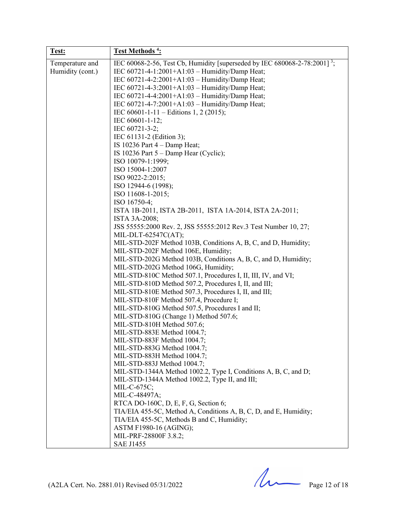| Test:            | Test Methods <sup>4</sup> :                                                           |
|------------------|---------------------------------------------------------------------------------------|
| Temperature and  | IEC 60068-2-56, Test Cb, Humidity [superseded by IEC 680068-2-78:2001] <sup>3</sup> ; |
| Humidity (cont.) | IEC 60721-4-1:2001+A1:03 - Humidity/Damp Heat;                                        |
|                  | IEC 60721-4-2:2001+A1:03 - Humidity/Damp Heat;                                        |
|                  | IEC 60721-4-3:2001+A1:03 - Humidity/Damp Heat;                                        |
|                  | IEC 60721-4-4:2001+A1:03 - Humidity/Damp Heat;                                        |
|                  | IEC 60721-4-7:2001+A1:03 - Humidity/Damp Heat;                                        |
|                  | IEC 60601-1-11 – Editions 1, 2 (2015);                                                |
|                  | IEC 60601-1-12;                                                                       |
|                  | IEC 60721-3-2;                                                                        |
|                  | IEC 61131-2 (Edition 3);                                                              |
|                  | IS 10236 Part $4$ – Damp Heat;                                                        |
|                  | IS 10236 Part $5 -$ Damp Hear (Cyclic);                                               |
|                  | ISO 10079-1:1999;                                                                     |
|                  | ISO 15004-1:2007                                                                      |
|                  | ISO 9022-2:2015;                                                                      |
|                  | ISO 12944-6 (1998);                                                                   |
|                  | ISO 11608-1-2015;                                                                     |
|                  | ISO 16750-4;                                                                          |
|                  |                                                                                       |
|                  | ISTA 1B-2011, ISTA 2B-2011, ISTA 1A-2014, ISTA 2A-2011;                               |
|                  | ISTA 3A-2008;                                                                         |
|                  | JSS 55555:2000 Rev. 2, JSS 55555:2012 Rev.3 Test Number 10, 27;                       |
|                  | MIL-DLT-62547C(AT);                                                                   |
|                  | MIL-STD-202F Method 103B, Conditions A, B, C, and D, Humidity;                        |
|                  | MIL-STD-202F Method 106E, Humidity;                                                   |
|                  | MIL-STD-202G Method 103B, Conditions A, B, C, and D, Humidity;                        |
|                  | MIL-STD-202G Method 106G, Humidity;                                                   |
|                  | MIL-STD-810C Method 507.1, Procedures I, II, III, IV, and VI;                         |
|                  | MIL-STD-810D Method 507.2, Procedures I, II, and III;                                 |
|                  | MIL-STD-810E Method 507.3, Procedures I, II, and III;                                 |
|                  | MIL-STD-810F Method 507.4, Procedure I;                                               |
|                  | MIL-STD-810G Method 507.5, Procedures I and II;                                       |
|                  | MIL-STD-810G (Change 1) Method 507.6;                                                 |
|                  | MIL-STD-810H Method 507.6;                                                            |
|                  | MIL-STD-883E Method 1004.7;                                                           |
|                  | MIL-STD-883F Method 1004.7;                                                           |
|                  | MIL-STD-883G Method 1004.7;                                                           |
|                  | MIL-STD-883H Method 1004.7;                                                           |
|                  | MIL-STD-883J Method 1004.7;                                                           |
|                  | MIL-STD-1344A Method 1002.2, Type I, Conditions A, B, C, and D;                       |
|                  | MIL-STD-1344A Method 1002.2, Type II, and III;                                        |
|                  | MIL-C-675C;                                                                           |
|                  | MIL-C-48497A;                                                                         |
|                  | RTCA DO-160C, D, E, F, G, Section 6;                                                  |
|                  | TIA/EIA 455-5C, Method A, Conditions A, B, C, D, and E, Humidity;                     |
|                  | TIA/EIA 455-5C, Methods B and C, Humidity;                                            |
|                  | ASTM F1980-16 (AGING);                                                                |
|                  | MIL-PRF-28800F 3.8.2;                                                                 |
|                  | <b>SAE J1455</b>                                                                      |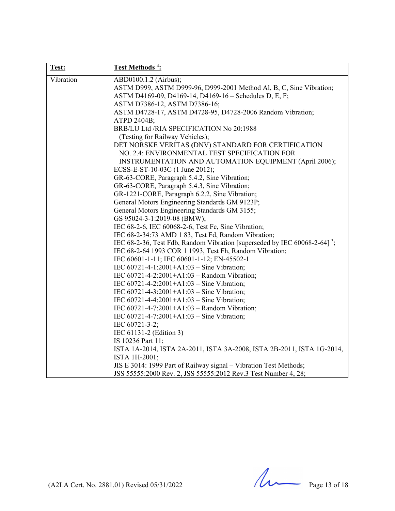| Test:     | Test Methods <sup>4</sup> :                                                           |
|-----------|---------------------------------------------------------------------------------------|
| Vibration | ABD0100.1.2 (Airbus);                                                                 |
|           | ASTM D999, ASTM D999-96, D999-2001 Method Al, B, C, Sine Vibration;                   |
|           | ASTM D4169-09, D4169-14, D4169-16 - Schedules D, E, F;                                |
|           | ASTM D7386-12, ASTM D7386-16;                                                         |
|           | ASTM D4728-17, ASTM D4728-95, D4728-2006 Random Vibration;                            |
|           | ATPD 2404B;                                                                           |
|           | BRB/LU Ltd /RIA SPECIFICATION No 20:1988                                              |
|           | (Testing for Railway Vehicles);                                                       |
|           | DET NORSKE VERITAS (DNV) STANDARD FOR CERTIFICATION                                   |
|           | NO. 2.4: ENVIRONMENTAL TEST SPECIFICATION FOR                                         |
|           | INSTRUMENTATION AND AUTOMATION EQUIPMENT (April 2006);                                |
|           | ECSS-E-ST-10-03C (1 June 2012);                                                       |
|           | GR-63-CORE, Paragraph 5.4.2, Sine Vibration;                                          |
|           | GR-63-CORE, Paragraph 5.4.3, Sine Vibration;                                          |
|           | GR-1221-CORE, Paragraph 6.2.2, Sine Vibration;                                        |
|           | General Motors Engineering Standards GM 9123P;                                        |
|           | General Motors Engineering Standards GM 3155;                                         |
|           | GS 95024-3-1:2019-08 (BMW);                                                           |
|           | IEC 68-2-6, IEC 60068-2-6, Test Fc, Sine Vibration;                                   |
|           | IEC 68-2-34:73 AMD 1 83, Test Fd, Random Vibration;                                   |
|           | IEC 68-2-36, Test Fdb, Random Vibration [superseded by IEC 60068-2-64] <sup>3</sup> ; |
|           | IEC 68-2-64 1993 COR 1 1993, Test Fh, Random Vibration;                               |
|           | IEC 60601-1-11; IEC 60601-1-12; EN-45502-1                                            |
|           | IEC 60721-4-1:2001+A1:03 - Sine Vibration;                                            |
|           | IEC 60721-4-2:2001+A1:03 - Random Vibration;                                          |
|           | IEC $60721 - 4 - 2:2001 + A1:03 - Sine Vibration;$                                    |
|           | IEC $60721 - 4 - 3:2001 + A1:03 - Sine Vibration$ ;                                   |
|           | IEC $60721 - 4 - 4:2001 + A1:03 - Sine Vibration;$                                    |
|           | IEC 60721-4-7:2001+A1:03 - Random Vibration;                                          |
|           | IEC $60721 - 4 - 7:2001 + A1:03 - Sine Vibration;$                                    |
|           | IEC 60721-3-2;                                                                        |
|           | IEC 61131-2 (Edition 3)                                                               |
|           | IS 10236 Part 11;                                                                     |
|           | ISTA 1A-2014, ISTA 2A-2011, ISTA 3A-2008, ISTA 2B-2011, ISTA 1G-2014,                 |
|           | ISTA 1H-2001;                                                                         |
|           | JIS E 3014: 1999 Part of Railway signal - Vibration Test Methods;                     |
|           | JSS 55555:2000 Rev. 2, JSS 55555:2012 Rev.3 Test Number 4, 28;                        |

 $(A2LA$  Cert. No. 2881.01) Revised 05/31/2022 Page 13 of 18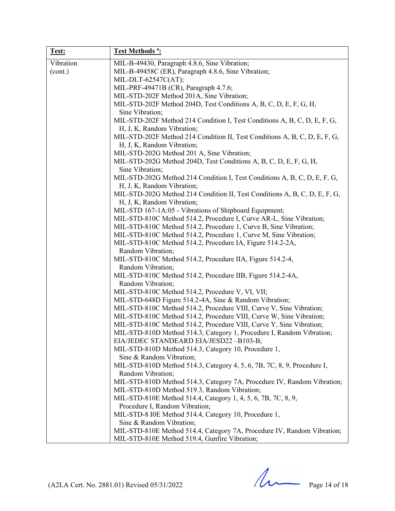| Test:     | <b>Test Methods<sup>4</sup></b> :                                                                                                                                                                                                                                                                                                                                                                                                                                                                                                                                       |
|-----------|-------------------------------------------------------------------------------------------------------------------------------------------------------------------------------------------------------------------------------------------------------------------------------------------------------------------------------------------------------------------------------------------------------------------------------------------------------------------------------------------------------------------------------------------------------------------------|
| Vibration | MIL-B-49430, Paragraph 4.8.6, Sine Vibration;                                                                                                                                                                                                                                                                                                                                                                                                                                                                                                                           |
| (cont.)   | MIL-B-49458C (ER), Paragraph 4.8.6, Sine Vibration;                                                                                                                                                                                                                                                                                                                                                                                                                                                                                                                     |
|           | MIL-DLT-62547C(AT);                                                                                                                                                                                                                                                                                                                                                                                                                                                                                                                                                     |
|           | MIL-PRF-49471B (CR), Paragraph 4.7.6;                                                                                                                                                                                                                                                                                                                                                                                                                                                                                                                                   |
|           | MIL-STD-202F Method 201A, Sine Vibration;                                                                                                                                                                                                                                                                                                                                                                                                                                                                                                                               |
|           | MIL-STD-202F Method 204D, Test Conditions A, B, C, D, E, F, G, H,                                                                                                                                                                                                                                                                                                                                                                                                                                                                                                       |
|           | Sine Vibration;                                                                                                                                                                                                                                                                                                                                                                                                                                                                                                                                                         |
|           | MIL-STD-202F Method 214 Condition I, Test Conditions A, B, C, D, E, F, G,                                                                                                                                                                                                                                                                                                                                                                                                                                                                                               |
|           | H, J, K, Random Vibration;<br>MIL-STD-202F Method 214 Condition II, Test Conditions A, B, C, D, E, F, G,                                                                                                                                                                                                                                                                                                                                                                                                                                                                |
|           | H, J, K, Random Vibration;                                                                                                                                                                                                                                                                                                                                                                                                                                                                                                                                              |
|           | MIL-STD-202G Method 201 A, Sine Vibration;                                                                                                                                                                                                                                                                                                                                                                                                                                                                                                                              |
|           | MIL-STD-202G Method 204D, Test Conditions A, B, C, D, E, F, G, H,                                                                                                                                                                                                                                                                                                                                                                                                                                                                                                       |
|           | Sine Vibration;                                                                                                                                                                                                                                                                                                                                                                                                                                                                                                                                                         |
|           | MIL-STD-202G Method 214 Condition I, Test Conditions A, B, C, D, E, F, G,<br>H, J, K, Random Vibration;                                                                                                                                                                                                                                                                                                                                                                                                                                                                 |
|           | MIL-STD-202G Method 214 Condition II, Test Conditions A, B, C, D, E, F, G,                                                                                                                                                                                                                                                                                                                                                                                                                                                                                              |
|           | H, J, K, Random Vibration;                                                                                                                                                                                                                                                                                                                                                                                                                                                                                                                                              |
|           | MIL-STD 167-1A:05 - Vibrations of Shipboard Equipment;                                                                                                                                                                                                                                                                                                                                                                                                                                                                                                                  |
|           | MIL-STD-810C Method 514.2, Procedure I, Curve AR-L, Sine Vibration;                                                                                                                                                                                                                                                                                                                                                                                                                                                                                                     |
|           | MIL-STD-810C Method 514.2, Procedure 1, Curve B, Sine Vibration;                                                                                                                                                                                                                                                                                                                                                                                                                                                                                                        |
|           | MIL-STD-810C Method 514.2, Procedure 1, Curve M, Sine Vibration;                                                                                                                                                                                                                                                                                                                                                                                                                                                                                                        |
|           | MIL-STD-810C Method 514.2, Procedure IA, Figure 514.2-2A,                                                                                                                                                                                                                                                                                                                                                                                                                                                                                                               |
|           | Random Vibration;                                                                                                                                                                                                                                                                                                                                                                                                                                                                                                                                                       |
|           | MIL-STD-810C Method 514.2, Procedure IIA, Figure 514.2-4,                                                                                                                                                                                                                                                                                                                                                                                                                                                                                                               |
|           | Random Vibration;                                                                                                                                                                                                                                                                                                                                                                                                                                                                                                                                                       |
|           | MIL-STD-810C Method 514.2, Procedure IIB, Figure 514.2-4A,                                                                                                                                                                                                                                                                                                                                                                                                                                                                                                              |
|           | Random Vibration;                                                                                                                                                                                                                                                                                                                                                                                                                                                                                                                                                       |
|           | MIL-STD-810C Method 514.2, Procedure V, VI, VII;                                                                                                                                                                                                                                                                                                                                                                                                                                                                                                                        |
|           | MIL-STD-648D Figure 514.2-4A, Sine & Random Vibration;                                                                                                                                                                                                                                                                                                                                                                                                                                                                                                                  |
|           | MIL-STD-810C Method 514.2, Procedure VIII, Curve V, Sine Vibration;                                                                                                                                                                                                                                                                                                                                                                                                                                                                                                     |
|           | MIL-STD-810C Method 514.2, Procedure VIII, Curve W, Sine Vibration;                                                                                                                                                                                                                                                                                                                                                                                                                                                                                                     |
|           | MIL-STD-810C Method 514.2, Procedure VIII, Curve Y, Sine Vibration;                                                                                                                                                                                                                                                                                                                                                                                                                                                                                                     |
|           | MIL-STD-810D Method 514.3, Category 1, Procedure I, Random Vibration;                                                                                                                                                                                                                                                                                                                                                                                                                                                                                                   |
|           | EIA/JEDEC STANDEARD EIA/JESD22-B103-B;                                                                                                                                                                                                                                                                                                                                                                                                                                                                                                                                  |
|           | MIL-STD-810D Method 514.3, Category 10, Procedure 1,                                                                                                                                                                                                                                                                                                                                                                                                                                                                                                                    |
|           |                                                                                                                                                                                                                                                                                                                                                                                                                                                                                                                                                                         |
|           |                                                                                                                                                                                                                                                                                                                                                                                                                                                                                                                                                                         |
|           |                                                                                                                                                                                                                                                                                                                                                                                                                                                                                                                                                                         |
|           |                                                                                                                                                                                                                                                                                                                                                                                                                                                                                                                                                                         |
|           |                                                                                                                                                                                                                                                                                                                                                                                                                                                                                                                                                                         |
|           |                                                                                                                                                                                                                                                                                                                                                                                                                                                                                                                                                                         |
|           |                                                                                                                                                                                                                                                                                                                                                                                                                                                                                                                                                                         |
|           |                                                                                                                                                                                                                                                                                                                                                                                                                                                                                                                                                                         |
|           |                                                                                                                                                                                                                                                                                                                                                                                                                                                                                                                                                                         |
|           |                                                                                                                                                                                                                                                                                                                                                                                                                                                                                                                                                                         |
|           | Sine & Random Vibration;<br>MIL-STD-810D Method 514.3, Category 4, 5, 6, 7B, 7C, 8, 9, Procedure I,<br>Random Vibration;<br>MIL-STD-810D Method 514.3, Category 7A, Procedure IV, Random Vibration;<br>MIL-STD-810D Method 519.3, Random Vibration;<br>MIL-STD-810E Method 514.4, Category 1, 4, 5, 6, 7B, 7C, 8, 9,<br>Procedure I, Random Vibration;<br>MIL-STD-8 I0E Method 514.4, Category 10, Procedure 1,<br>Sine & Random Vibration;<br>MIL-STD-810E Method 514.4, Category 7A, Procedure IV, Random Vibration;<br>MIL-STD-810E Method 519.4, Gunfire Vibration; |

 $(A2LA$  Cert. No. 2881.01) Revised 05/31/2022 Page 14 of 18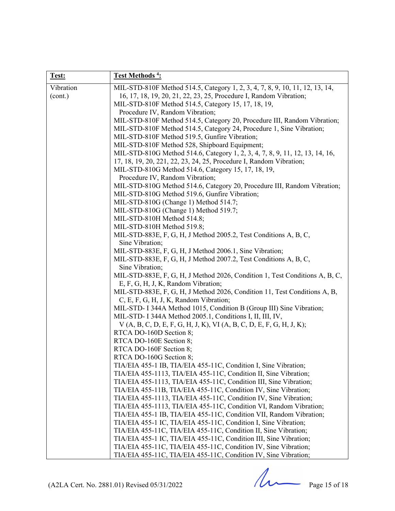| Test:     | Test Methods <sup>4</sup> :                                                                                                                         |
|-----------|-----------------------------------------------------------------------------------------------------------------------------------------------------|
| Vibration | MIL-STD-810F Method 514.5, Category 1, 2, 3, 4, 7, 8, 9, 10, 11, 12, 13, 14,                                                                        |
| (cont.)   | 16, 17, 18, 19, 20, 21, 22, 23, 25, Procedure I, Random Vibration;                                                                                  |
|           | MIL-STD-810F Method 514.5, Category 15, 17, 18, 19,                                                                                                 |
|           | Procedure IV, Random Vibration;                                                                                                                     |
|           | MIL-STD-810F Method 514.5, Category 20, Procedure III, Random Vibration;                                                                            |
|           | MIL-STD-810F Method 514.5, Category 24, Procedure 1, Sine Vibration;                                                                                |
|           | MIL-STD-810F Method 519.5, Gunfire Vibration;                                                                                                       |
|           | MIL-STD-810F Method 528, Shipboard Equipment;                                                                                                       |
|           | MIL-STD-810G Method 514.6, Category 1, 2, 3, 4, 7, 8, 9, 11, 12, 13, 14, 16,<br>17, 18, 19, 20, 221, 22, 23, 24, 25, Procedure I, Random Vibration; |
|           | MIL-STD-810G Method 514.6, Category 15, 17, 18, 19,                                                                                                 |
|           | Procedure IV, Random Vibration;                                                                                                                     |
|           | MIL-STD-810G Method 514.6, Category 20, Procedure III, Random Vibration;                                                                            |
|           | MIL-STD-810G Method 519.6, Gunfire Vibration;                                                                                                       |
|           | MIL-STD-810G (Change 1) Method 514.7;                                                                                                               |
|           | MIL-STD-810G (Change 1) Method 519.7;                                                                                                               |
|           | MIL-STD-810H Method 514.8;                                                                                                                          |
|           | MIL-STD-810H Method 519.8;                                                                                                                          |
|           | MIL-STD-883E, F, G, H, J Method 2005.2, Test Conditions A, B, C,                                                                                    |
|           | Sine Vibration;                                                                                                                                     |
|           | MIL-STD-883E, F, G, H, J Method 2006.1, Sine Vibration;                                                                                             |
|           | MIL-STD-883E, F, G, H, J Method 2007.2, Test Conditions A, B, C,                                                                                    |
|           | Sine Vibration;                                                                                                                                     |
|           | MIL-STD-883E, F, G, H, J Method 2026, Condition 1, Test Conditions A, B, C,                                                                         |
|           | E, F, G, H, J, K, Random Vibration;                                                                                                                 |
|           | MIL-STD-883E, F, G, H, J Method 2026, Condition 11, Test Conditions A, B,<br>C, E, F, G, H, J, K, Random Vibration;                                 |
|           | MIL-STD- I 344A Method 1015, Condition B (Group III) Sine Vibration;                                                                                |
|           | MIL-STD- I 344A Method 2005.1, Conditions I, II, III, IV,                                                                                           |
|           | $V(A, B, C, D, E, F, G, H, J, K), VI (A, B, C, D, E, F, G, H, J, K);$                                                                               |
|           | RTCA DO-160D Section 8;                                                                                                                             |
|           | RTCA DO-160E Section 8;                                                                                                                             |
|           | RTCA DO-160F Section 8;                                                                                                                             |
|           | RTCA DO-160G Section 8;                                                                                                                             |
|           | TIA/EIA 455-1 IB, TIA/EIA 455-11C, Condition I, Sine Vibration;                                                                                     |
|           | TIA/EIA 455-1113, TIA/EIA 455-11C, Condition II, Sine Vibration;                                                                                    |
|           | TIA/EIA 455-1113, TIA/EIA 455-11C, Condition III, Sine Vibration;                                                                                   |
|           | TIA/EIA 455-11B, TIA/EIA 455-11C, Condition IV, Sine Vibration;                                                                                     |
|           | TIA/EIA 455-1113, TIA/EIA 455-11C, Condition IV, Sine Vibration;                                                                                    |
|           | TIA/EIA 455-1113, TIA/EIA 455-11C, Condition VI, Random Vibration;                                                                                  |
|           | TIA/EIA 455-1 IB, TIA/EIA 455-11C, Condition VII, Random Vibration;<br>TIA/EIA 455-1 IC, TIA/EIA 455-11C, Condition I, Sine Vibration;              |
|           | TIA/EIA 455-11C, TIA/EIA 455-11C, Condition II, Sine Vibration;                                                                                     |
|           | TIA/EIA 455-1 IC, TIA/EIA 455-11C, Condition III, Sine Vibration;                                                                                   |
|           | TIA/EIA 455-11C, TIA/EIA 455-11C, Condition IV, Sine Vibration;                                                                                     |
|           | TIA/EIA 455-11C, TIA/EIA 455-11C, Condition IV, Sine Vibration;                                                                                     |

 $(A2LA$  Cert. No. 2881.01) Revised 05/31/2022 Page 15 of 18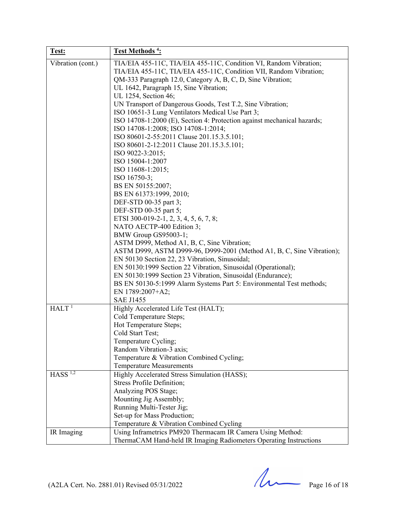| Test:                 | Test Methods <sup>4</sup> :                                                                                                                                                                                                                                                                                                                                                                                                                                                                                                                                                                                                                                                                                                                                                                                                                                                                                                                                                                                                                                                                                                                                                                      |
|-----------------------|--------------------------------------------------------------------------------------------------------------------------------------------------------------------------------------------------------------------------------------------------------------------------------------------------------------------------------------------------------------------------------------------------------------------------------------------------------------------------------------------------------------------------------------------------------------------------------------------------------------------------------------------------------------------------------------------------------------------------------------------------------------------------------------------------------------------------------------------------------------------------------------------------------------------------------------------------------------------------------------------------------------------------------------------------------------------------------------------------------------------------------------------------------------------------------------------------|
| Vibration (cont.)     | TIA/EIA 455-11C, TIA/EIA 455-11C, Condition VI, Random Vibration;<br>TIA/EIA 455-11C, TIA/EIA 455-11C, Condition VII, Random Vibration;<br>QM-333 Paragraph 12.0, Category A, B, C, D, Sine Vibration;<br>UL 1642, Paragraph 15, Sine Vibration;<br>UL 1254, Section 46;<br>UN Transport of Dangerous Goods, Test T.2, Sine Vibration;<br>ISO 10651-3 Lung Ventilators Medical Use Part 3;<br>ISO 14708-1:2000 (E), Section 4: Protection against mechanical hazards;<br>ISO 14708-1:2008; ISO 14708-1:2014;<br>ISO 80601-2-55:2011 Clause 201.15.3.5.101;<br>ISO 80601-2-12:2011 Clause 201.15.3.5.101;<br>ISO 9022-3:2015;<br>ISO 15004-1:2007<br>ISO 11608-1:2015;<br>ISO 16750-3;<br>BS EN 50155:2007;<br>BS EN 61373:1999, 2010;<br>DEF-STD 00-35 part 3;<br>DEF-STD 00-35 part 5;<br>ETSI 300-019-2-1, 2, 3, 4, 5, 6, 7, 8;<br>NATO AECTP-400 Edition 3;<br>BMW Group GS95003-1;<br>ASTM D999, Method A1, B, C, Sine Vibration;<br>ASTM D999, ASTM D999-96, D999-2001 (Method A1, B, C, Sine Vibration);<br>EN 50130 Section 22, 23 Vibration, Sinusoidal;<br>EN 50130:1999 Section 22 Vibration, Sinusoidal (Operational);<br>EN 50130:1999 Section 23 Vibration, Sinusoidal (Endurance); |
|                       | BS EN 50130-5:1999 Alarm Systems Part 5: Environmental Test methods;<br>EN 1789:2007+A2;                                                                                                                                                                                                                                                                                                                                                                                                                                                                                                                                                                                                                                                                                                                                                                                                                                                                                                                                                                                                                                                                                                         |
|                       | <b>SAE J1455</b>                                                                                                                                                                                                                                                                                                                                                                                                                                                                                                                                                                                                                                                                                                                                                                                                                                                                                                                                                                                                                                                                                                                                                                                 |
| HALT <sup>1</sup>     | Highly Accelerated Life Test (HALT);<br>Cold Temperature Steps;<br>Hot Temperature Steps;<br>Cold Start Test;<br>Temperature Cycling;<br>Random Vibration-3 axis;<br>Temperature & Vibration Combined Cycling;<br><b>Temperature Measurements</b>                                                                                                                                                                                                                                                                                                                                                                                                                                                                                                                                                                                                                                                                                                                                                                                                                                                                                                                                                |
| $HASS$ <sup>1,2</sup> | Highly Accelerated Stress Simulation (HASS);<br><b>Stress Profile Definition;</b><br>Analyzing POS Stage;<br>Mounting Jig Assembly;<br>Running Multi-Tester Jig;<br>Set-up for Mass Production;<br>Temperature & Vibration Combined Cycling                                                                                                                                                                                                                                                                                                                                                                                                                                                                                                                                                                                                                                                                                                                                                                                                                                                                                                                                                      |
| IR Imaging            | Using Inframetrics PM920 Thermacam IR Camera Using Method:<br>ThermaCAM Hand-held IR Imaging Radiometers Operating Instructions                                                                                                                                                                                                                                                                                                                                                                                                                                                                                                                                                                                                                                                                                                                                                                                                                                                                                                                                                                                                                                                                  |

 $(A2LA$  Cert. No. 2881.01) Revised 05/31/2022 Page 16 of 18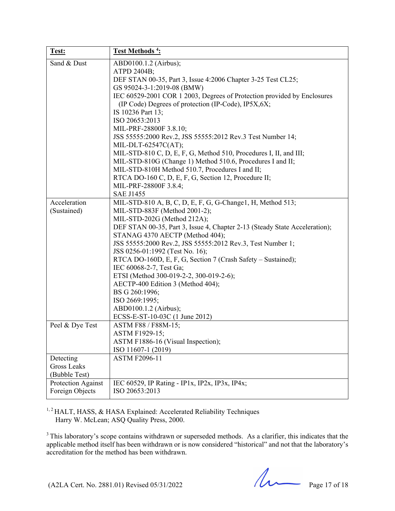| Test:              | Test Methods <sup>4</sup> :                                                                                                    |
|--------------------|--------------------------------------------------------------------------------------------------------------------------------|
| Sand & Dust        | ABD0100.1.2 (Airbus);                                                                                                          |
|                    | ATPD 2404B;                                                                                                                    |
|                    | DEF STAN 00-35, Part 3, Issue 4:2006 Chapter 3-25 Test CL25;                                                                   |
|                    | GS 95024-3-1:2019-08 (BMW)                                                                                                     |
|                    | IEC 60529-2001 COR 1 2003, Degrees of Protection provided by Enclosures<br>(IP Code) Degrees of protection (IP-Code), IP5X,6X; |
|                    | IS 10236 Part 13;                                                                                                              |
|                    | ISO 20653:2013                                                                                                                 |
|                    | MIL-PRF-28800F 3.8.10;                                                                                                         |
|                    | JSS 55555:2000 Rev.2, JSS 55555:2012 Rev.3 Test Number 14;                                                                     |
|                    | MIL-DLT-62547C(AT);                                                                                                            |
|                    | MIL-STD-810 C, D, E, F, G, Method 510, Procedures I, II, and III;                                                              |
|                    | MIL-STD-810G (Change 1) Method 510.6, Procedures I and II;                                                                     |
|                    | MIL-STD-810H Method 510.7, Procedures I and II;                                                                                |
|                    | RTCA DO-160 C, D, E, F, G, Section 12, Procedure II;                                                                           |
|                    | MIL-PRF-28800F 3.8.4;                                                                                                          |
|                    | <b>SAE J1455</b>                                                                                                               |
| Acceleration       | MIL-STD-810 A, B, C, D, E, F, G, G-Change1, H, Method 513;                                                                     |
| (Sustained)        | MIL-STD-883F (Method 2001-2);                                                                                                  |
|                    | MIL-STD-202G (Method 212A);                                                                                                    |
|                    | DEF STAN 00-35, Part 3, Issue 4, Chapter 2-13 (Steady State Acceleration);                                                     |
|                    | STANAG 4370 AECTP (Method 404);                                                                                                |
|                    | JSS 55555:2000 Rev.2, JSS 55555:2012 Rev.3, Test Number 1;                                                                     |
|                    | JSS 0256-01:1992 (Test No. 16);                                                                                                |
|                    | RTCA DO-160D, E, F, G, Section 7 (Crash Safety – Sustained);                                                                   |
|                    | IEC 60068-2-7, Test Ga;                                                                                                        |
|                    | ETSI (Method 300-019-2-2, 300-019-2-6);                                                                                        |
|                    | AECTP-400 Edition 3 (Method 404);                                                                                              |
|                    | BS G 260:1996;<br>ISO 2669:1995;                                                                                               |
|                    | ABD0100.1.2 (Airbus);                                                                                                          |
|                    | ECSS-E-ST-10-03C (1 June 2012)                                                                                                 |
| Peel & Dye Test    | ASTM F88 / F88M-15;                                                                                                            |
|                    | ASTM F1929-15;                                                                                                                 |
|                    | ASTM F1886-16 (Visual Inspection);                                                                                             |
|                    | ISO 11607-1 (2019)                                                                                                             |
| Detecting          | <b>ASTM F2096-11</b>                                                                                                           |
| <b>Gross Leaks</b> |                                                                                                                                |
| (Bubble Test)      |                                                                                                                                |
| Protection Against | IEC 60529, IP Rating - IP1x, IP2x, IP3x, IP4x;                                                                                 |
| Foreign Objects    | ISO 20653:2013                                                                                                                 |

<sup>1, 2</sup> HALT, HASS, & HASA Explained: Accelerated Reliability Techniques Harry W. McLean; ASQ Quality Press, 2000.

<sup>3</sup> This laboratory's scope contains withdrawn or superseded methods. As a clarifier, this indicates that the applicable method itself has been withdrawn or is now considered "historical" and not that the laboratory's accreditation for the method has been withdrawn.

(A2LA Cert. No. 2881.01) Revised 05/31/2022 Page 17 of 18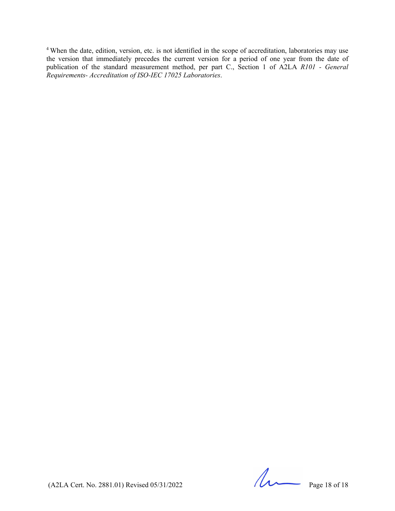<sup>4</sup> When the date, edition, version, etc. is not identified in the scope of accreditation, laboratories may use the version that immediately precedes the current version for a period of one year from the date of publication of the standard measurement method, per part C., Section 1 of A2LA *R101 - General Requirements- Accreditation of ISO-IEC 17025 Laboratories*.

 $(A2LA$  Cert. No. 2881.01) Revised 05/31/2022 Page 18 of 18